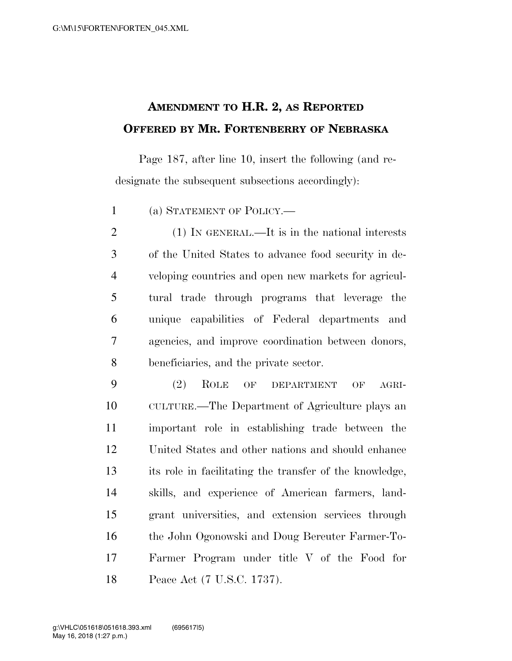## **AMENDMENT TO H.R. 2, AS REPORTED OFFERED BY MR. FORTENBERRY OF NEBRASKA**

Page 187, after line 10, insert the following (and redesignate the subsequent subsections accordingly):

(a) STATEMENT OF POLICY.—

 (1) IN GENERAL.—It is in the national interests of the United States to advance food security in de- veloping countries and open new markets for agricul- tural trade through programs that leverage the unique capabilities of Federal departments and agencies, and improve coordination between donors, beneficiaries, and the private sector.

 (2) ROLE OF DEPARTMENT OF AGRI- CULTURE.—The Department of Agriculture plays an important role in establishing trade between the United States and other nations and should enhance its role in facilitating the transfer of the knowledge, skills, and experience of American farmers, land- grant universities, and extension services through the John Ogonowski and Doug Bereuter Farmer-To- Farmer Program under title V of the Food for Peace Act (7 U.S.C. 1737).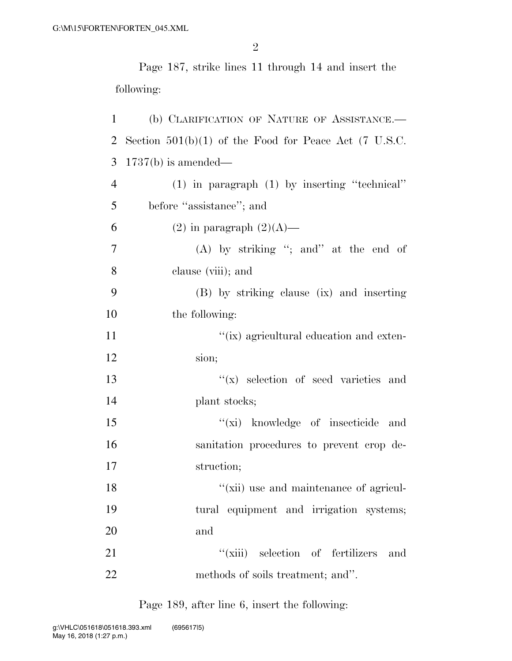Page 187, strike lines 11 through 14 and insert the following:

| 1              | (b) CLARIFICATION OF NATURE OF ASSISTANCE.-             |
|----------------|---------------------------------------------------------|
| 2              | Section $501(b)(1)$ of the Food for Peace Act (7 U.S.C. |
| 3              | $1737(b)$ is amended—                                   |
| $\overline{4}$ | $(1)$ in paragraph $(1)$ by inserting "technical"       |
| 5              | before "assistance"; and                                |
| 6              | $(2)$ in paragraph $(2)(A)$ —                           |
| 7              | (A) by striking "; and" at the end of                   |
| 8              | clause (viii); and                                      |
| 9              | (B) by striking clause (ix) and inserting               |
| 10             | the following:                                          |
| 11             | "(ix) agricultural education and exten-                 |
| 12             | sion;                                                   |
| 13             | $f(x)$ selection of seed varieties and                  |
| 14             | plant stocks;                                           |
| 15             | "(xi) knowledge of insecticide and                      |
| 16             | sanitation procedures to prevent crop de-               |
| 17             | struction;                                              |
| 18             | $\lq\lq$ (xii) use and maintenance of agricul-          |
| 19             | tural equipment and irrigation systems;                 |
| 20             | and                                                     |
| 21             | "(xiii) selection of fertilizers<br>and                 |
| 22             | methods of soils treatment; and".                       |

Page 189, after line 6, insert the following: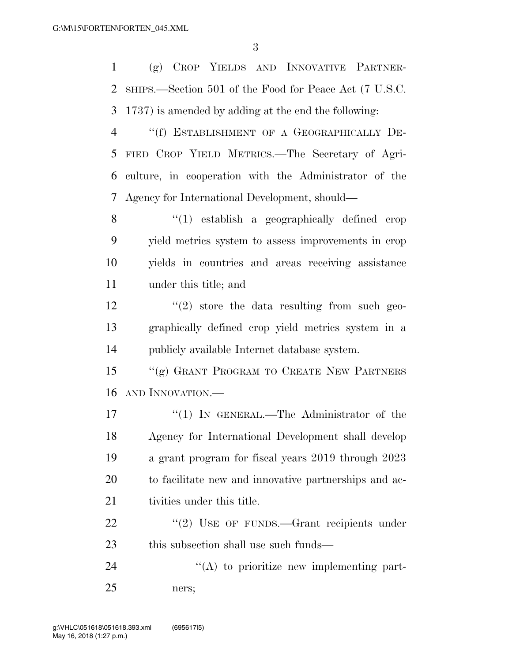(g) CROP YIELDS AND INNOVATIVE PARTNER- SHIPS.—Section 501 of the Food for Peace Act (7 U.S.C. 1737) is amended by adding at the end the following: ''(f) ESTABLISHMENT OF A GEOGRAPHICALLY DE-

 FIED CROP YIELD METRICS.—The Secretary of Agri- culture, in cooperation with the Administrator of the Agency for International Development, should—

 ''(1) establish a geographically defined crop yield metrics system to assess improvements in crop yields in countries and areas receiving assistance under this title; and

 $\frac{12}{2}$  ''(2) store the data resulting from such geo- graphically defined crop yield metrics system in a publicly available Internet database system.

15 "(g) GRANT PROGRAM TO CREATE NEW PARTNERS AND INNOVATION.—

17 "(1) In GENERAL.—The Administrator of the Agency for International Development shall develop a grant program for fiscal years 2019 through 2023 to facilitate new and innovative partnerships and ac-21 tivities under this title.

22 "(2) USE OF FUNDS.—Grant recipients under 23 this subsection shall use such funds—

24  $\langle A \rangle$  to prioritize new implementing part-ners;